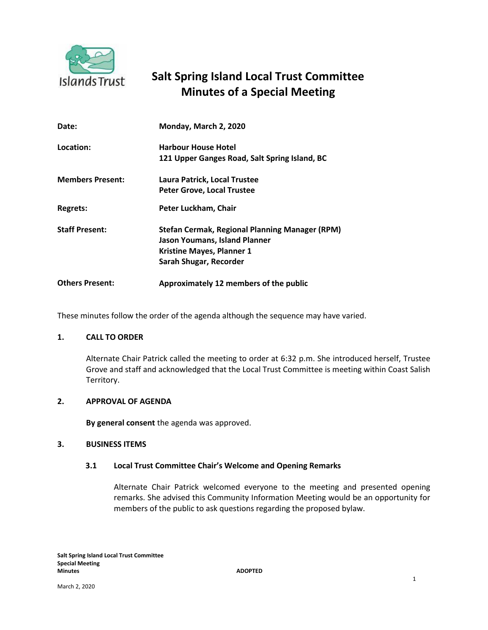

# **Minutes of a Special Meeting Salt Spring Island Local Trust Committee**

| Date:                   | Monday, March 2, 2020                          |
|-------------------------|------------------------------------------------|
| Location:               | <b>Harbour House Hotel</b>                     |
|                         | 121 Upper Ganges Road, Salt Spring Island, BC  |
| <b>Members Present:</b> | Laura Patrick, Local Trustee                   |
|                         | <b>Peter Grove, Local Trustee</b>              |
| Regrets:                | Peter Luckham, Chair                           |
| <b>Staff Present:</b>   | Stefan Cermak, Regional Planning Manager (RPM) |
|                         | <b>Jason Youmans, Island Planner</b>           |
|                         | <b>Kristine Mayes, Planner 1</b>               |
|                         | Sarah Shugar, Recorder                         |
| <b>Others Present:</b>  | Approximately 12 members of the public         |

These minutes follow the order of the agenda although the sequence may have varied.

# **1. CALL TO ORDER**

Alternate Chair Patrick called the meeting to order at 6:32 p.m. She introduced herself, Trustee Grove and staff and acknowledged that the Local Trust Committee is meeting within Coast Salish Territory.

#### **2. APPROVAL OF AGENDA**

**By general consent** the agenda was approved.

#### **3. BUSINESS ITEMS**

## **3.1 Local Trust Committee Chair's Welcome and Opening Remarks**

Alternate Chair Patrick welcomed everyone to the meeting and presented opening remarks. She advised this Community Information Meeting would be an opportunity for members of the public to ask questions regarding the proposed bylaw.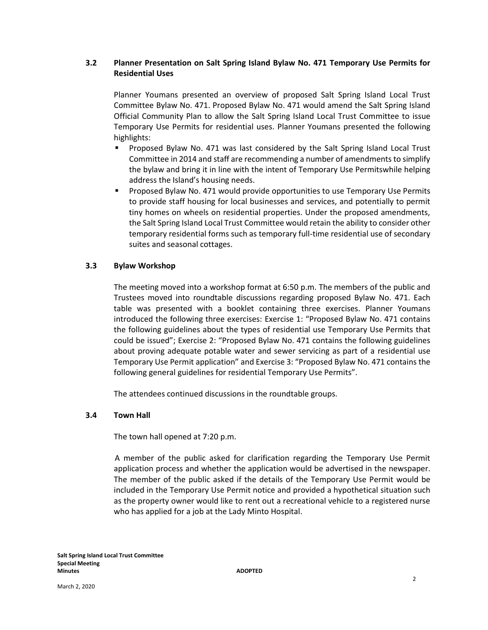# **3.2 Planner Presentation on Salt Spring Island Bylaw No. 471 Temporary Use Permits for Residential Uses**

Planner Youmans presented an overview of proposed Salt Spring Island Local Trust Committee Bylaw No. 471. Proposed Bylaw No. 471 would amend the Salt Spring Island Official Community Plan to allow the Salt Spring Island Local Trust Committee to issue Temporary Use Permits for residential uses. Planner Youmans presented the following highlights:

- **Proposed Bylaw No. 471 was last considered by the Salt Spring Island Local Trust** Committee in 2014 and staff are recommending a number of amendments to simplify the bylaw and bring it in line with the intent of Temporary Use Permitswhile helping address the Island's housing needs.
- **Proposed Bylaw No. 471 would provide opportunities to use Temporary Use Permits** to provide staff housing for local businesses and services, and potentially to permit tiny homes on wheels on residential properties. Under the proposed amendments, the Salt Spring Island Local Trust Committee would retain the ability to consider other temporary residential forms such as temporary full-time residential use of secondary suites and seasonal cottages.

## **3.3 Bylaw Workshop**

The meeting moved into a workshop format at 6:50 p.m. The members of the public and Trustees moved into roundtable discussions regarding proposed Bylaw No. 471. Each table was presented with a booklet containing three exercises. Planner Youmans introduced the following three exercises: Exercise 1: "Proposed Bylaw No. 471 contains the following guidelines about the types of residential use Temporary Use Permits that could be issued"; Exercise 2: "Proposed Bylaw No. 471 contains the following guidelines about proving adequate potable water and sewer servicing as part of a residential use Temporary Use Permit application" and Exercise 3: "Proposed Bylaw No. 471 contains the following general guidelines for residential Temporary Use Permits".

The attendees continued discussions in the roundtable groups.

## **3.4 Town Hall**

The town hall opened at 7:20 p.m.

A member of the public asked for clarification regarding the Temporary Use Permit application process and whether the application would be advertised in the newspaper. The member of the public asked if the details of the Temporary Use Permit would be included in the Temporary Use Permit notice and provided a hypothetical situation such as the property owner would like to rent out a recreational vehicle to a registered nurse who has applied for a job at the Lady Minto Hospital.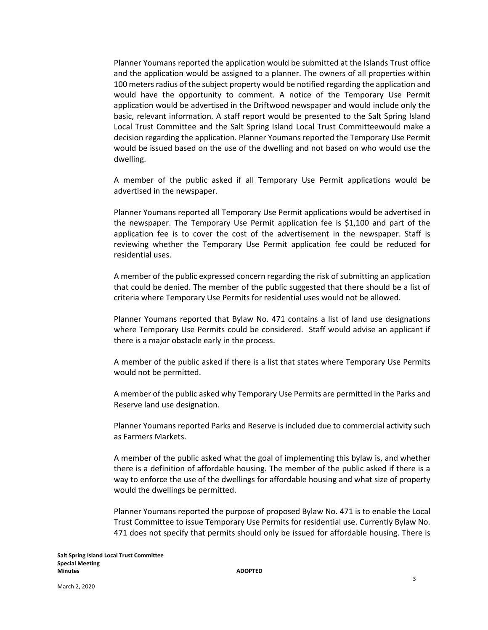Planner Youmans reported the application would be submitted at the Islands Trust office and the application would be assigned to a planner. The owners of all properties within 100 meters radius of the subject property would be notified regarding the application and would have the opportunity to comment. A notice of the Temporary Use Permit application would be advertised in the Driftwood newspaper and would include only the basic, relevant information. A staff report would be presented to the Salt Spring Island Local Trust Committee and the Salt Spring Island Local Trust Committeewould make a decision regarding the application. Planner Youmans reported the Temporary Use Permit would be issued based on the use of the dwelling and not based on who would use the dwelling.

A member of the public asked if all Temporary Use Permit applications would be advertised in the newspaper.

Planner Youmans reported all Temporary Use Permit applications would be advertised in the newspaper. The Temporary Use Permit application fee is \$1,100 and part of the application fee is to cover the cost of the advertisement in the newspaper. Staff is reviewing whether the Temporary Use Permit application fee could be reduced for residential uses.

A member of the public expressed concern regarding the risk of submitting an application that could be denied. The member of the public suggested that there should be a list of criteria where Temporary Use Permits for residential uses would not be allowed.

Planner Youmans reported that Bylaw No. 471 contains a list of land use designations where Temporary Use Permits could be considered. Staff would advise an applicant if there is a major obstacle early in the process.

A member of the public asked if there is a list that states where Temporary Use Permits would not be permitted.

A member of the public asked why Temporary Use Permits are permitted in the Parks and Reserve land use designation.

Planner Youmans reported Parks and Reserve is included due to commercial activity such as Farmers Markets.

A member of the public asked what the goal of implementing this bylaw is, and whether there is a definition of affordable housing. The member of the public asked if there is a way to enforce the use of the dwellings for affordable housing and what size of property would the dwellings be permitted.

Planner Youmans reported the purpose of proposed Bylaw No. 471 is to enable the Local Trust Committee to issue Temporary Use Permits for residential use. Currently Bylaw No. 471 does not specify that permits should only be issued for affordable housing. There is

March 2, 2020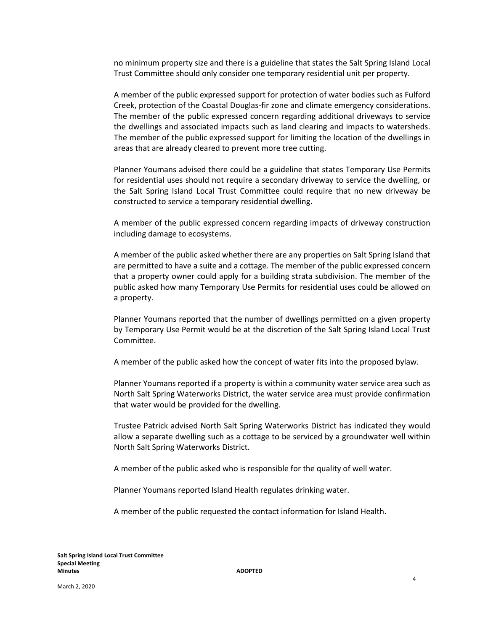no minimum property size and there is a guideline that states the Salt Spring Island Local Trust Committee should only consider one temporary residential unit per property.

A member of the public expressed support for protection of water bodies such as Fulford Creek, protection of the Coastal Douglas-fir zone and climate emergency considerations. The member of the public expressed concern regarding additional driveways to service the dwellings and associated impacts such as land clearing and impacts to watersheds. The member of the public expressed support for limiting the location of the dwellings in areas that are already cleared to prevent more tree cutting.

Planner Youmans advised there could be a guideline that states Temporary Use Permits for residential uses should not require a secondary driveway to service the dwelling, or the Salt Spring Island Local Trust Committee could require that no new driveway be constructed to service a temporary residential dwelling.

A member of the public expressed concern regarding impacts of driveway construction including damage to ecosystems.

A member of the public asked whether there are any properties on Salt Spring Island that are permitted to have a suite and a cottage. The member of the public expressed concern that a property owner could apply for a building strata subdivision. The member of the public asked how many Temporary Use Permits for residential uses could be allowed on a property.

Planner Youmans reported that the number of dwellings permitted on a given property by Temporary Use Permit would be at the discretion of the Salt Spring Island Local Trust Committee.

A member of the public asked how the concept of water fits into the proposed bylaw.

Planner Youmans reported if a property is within a community water service area such as North Salt Spring Waterworks District, the water service area must provide confirmation that water would be provided for the dwelling.

Trustee Patrick advised North Salt Spring Waterworks District has indicated they would allow a separate dwelling such as a cottage to be serviced by a groundwater well within North Salt Spring Waterworks District.

A member of the public asked who is responsible for the quality of well water.

Planner Youmans reported Island Health regulates drinking water.

A member of the public requested the contact information for Island Health.

March 2, 2020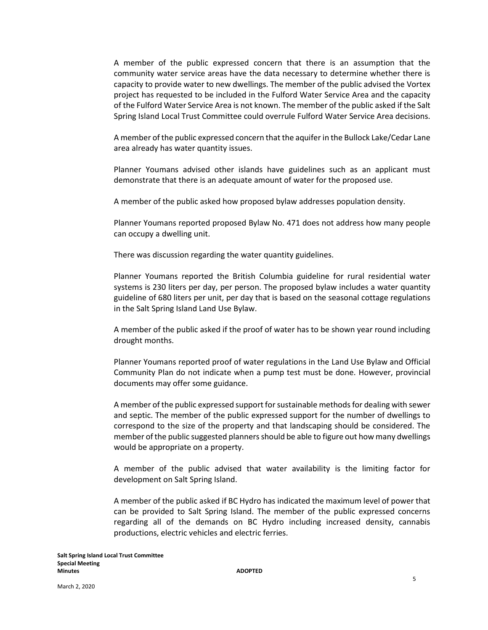A member of the public expressed concern that there is an assumption that the community water service areas have the data necessary to determine whether there is capacity to provide water to new dwellings. The member of the public advised the Vortex project has requested to be included in the Fulford Water Service Area and the capacity of the Fulford Water Service Area is not known. The member of the public asked if the Salt Spring Island Local Trust Committee could overrule Fulford Water Service Area decisions.

A member of the public expressed concern that the aquifer in the Bullock Lake/Cedar Lane area already has water quantity issues.

Planner Youmans advised other islands have guidelines such as an applicant must demonstrate that there is an adequate amount of water for the proposed use.

A member of the public asked how proposed bylaw addresses population density.

Planner Youmans reported proposed Bylaw No. 471 does not address how many people can occupy a dwelling unit.

There was discussion regarding the water quantity guidelines.

Planner Youmans reported the British Columbia guideline for rural residential water systems is 230 liters per day, per person. The proposed bylaw includes a water quantity guideline of 680 liters per unit, per day that is based on the seasonal cottage regulations in the Salt Spring Island Land Use Bylaw.

A member of the public asked if the proof of water has to be shown year round including drought months.

Planner Youmans reported proof of water regulations in the Land Use Bylaw and Official Community Plan do not indicate when a pump test must be done. However, provincial documents may offer some guidance.

A member of the public expressed support for sustainable methods for dealing with sewer and septic. The member of the public expressed support for the number of dwellings to correspond to the size of the property and that landscaping should be considered. The member of the public suggested plannersshould be able to figure out how many dwellings would be appropriate on a property.

A member of the public advised that water availability is the limiting factor for development on Salt Spring Island.

A member of the public asked if BC Hydro has indicated the maximum level of power that can be provided to Salt Spring Island. The member of the public expressed concerns regarding all of the demands on BC Hydro including increased density, cannabis productions, electric vehicles and electric ferries.

March 2, 2020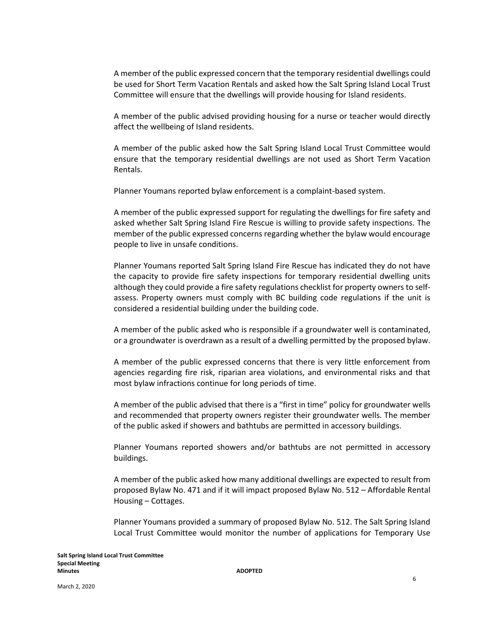A member of the public expressed concern that the temporary residential dwellings could be used for Short Term Vacation Rentals and asked how the Salt Spring Island Local Trust Committee will ensure that the dwellings will provide housing for Island residents.

A member of the public advised providing housing for a nurse or teacher would directly affect the wellbeing of Island residents.

A member of the public asked how the Salt Spring Island Local Trust Committee would ensure that the temporary residential dwellings are not used as Short Term Vacation Rentals.

Planner Youmans reported bylaw enforcement is a complaint-based system.

A member of the public expressed support for regulating the dwellings for fire safety and asked whether Salt Spring Island Fire Rescue is willing to provide safety inspections. The member of the public expressed concerns regarding whether the bylaw would encourage people to live in unsafe conditions.

Planner Youmans reported Salt Spring Island Fire Rescue has indicated they do not have the capacity to provide fire safety inspections for temporary residential dwelling units although they could provide a fire safety regulations checklist for property owners to selfassess. Property owners must comply with BC building code regulations if the unit is considered a residential building under the building code.

A member of the public asked who is responsible if a groundwater well is contaminated, or a groundwater is overdrawn as a result of a dwelling permitted by the proposed bylaw.

A member of the public expressed concerns that there is very little enforcement from agencies regarding fire risk, riparian area violations, and environmental risks and that most bylaw infractions continue for long periods of time.

A member of the public advised that there is a "first in time" policy for groundwater wells and recommended that property owners register their groundwater wells. The member of the public asked if showers and bathtubs are permitted in accessory buildings.

Planner Youmans reported showers and/or bathtubs are not permitted in accessory buildings.

A member of the public asked how many additional dwellings are expected to result from proposed Bylaw No. 471 and if it will impact proposed Bylaw No. 512 – Affordable Rental Housing – Cottages.

Planner Youmans provided a summary of proposed Bylaw No. 512. The Salt Spring Island Local Trust Committee would monitor the number of applications for Temporary Use